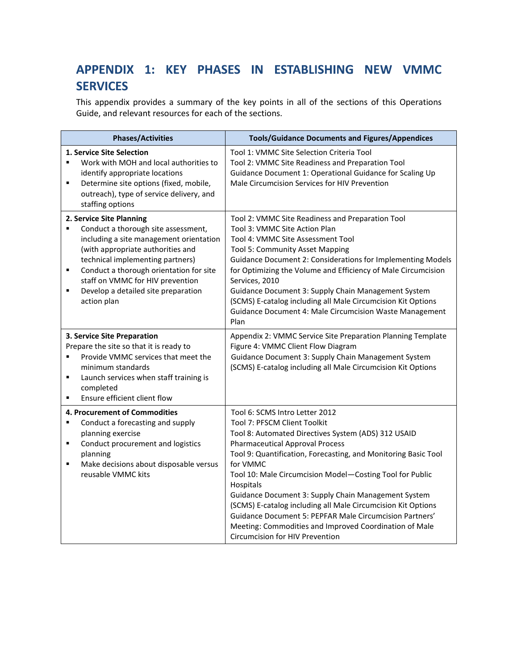## APPENDIX 1: KEY PHASES IN ESTABLISHING NEW VMMC **SERVICES**

This appendix provides a summary of the key points in all of the sections of this Operations Guide, and relevant resources for each of the sections.

| <b>Phases/Activities</b>                                                                                                                                                                                                                                                                                                                | <b>Tools/Guidance Documents and Figures/Appendices</b>                                                                                                                                                                                                                                                                                                                                                                                                                                                                                                                                                |
|-----------------------------------------------------------------------------------------------------------------------------------------------------------------------------------------------------------------------------------------------------------------------------------------------------------------------------------------|-------------------------------------------------------------------------------------------------------------------------------------------------------------------------------------------------------------------------------------------------------------------------------------------------------------------------------------------------------------------------------------------------------------------------------------------------------------------------------------------------------------------------------------------------------------------------------------------------------|
| 1. Service Site Selection<br>Work with MOH and local authorities to<br>identify appropriate locations<br>Determine site options (fixed, mobile,<br>٠<br>outreach), type of service delivery, and<br>staffing options                                                                                                                    | Tool 1: VMMC Site Selection Criteria Tool<br>Tool 2: VMMC Site Readiness and Preparation Tool<br>Guidance Document 1: Operational Guidance for Scaling Up<br>Male Circumcision Services for HIV Prevention                                                                                                                                                                                                                                                                                                                                                                                            |
| 2. Service Site Planning<br>Conduct a thorough site assessment,<br>٠<br>including a site management orientation<br>(with appropriate authorities and<br>technical implementing partners)<br>Conduct a thorough orientation for site<br>٠<br>staff on VMMC for HIV prevention<br>Develop a detailed site preparation<br>П<br>action plan | Tool 2: VMMC Site Readiness and Preparation Tool<br>Tool 3: VMMC Site Action Plan<br>Tool 4: VMMC Site Assessment Tool<br>Tool 5: Community Asset Mapping<br>Guidance Document 2: Considerations for Implementing Models<br>for Optimizing the Volume and Efficiency of Male Circumcision<br>Services, 2010<br>Guidance Document 3: Supply Chain Management System<br>(SCMS) E-catalog including all Male Circumcision Kit Options<br>Guidance Document 4: Male Circumcision Waste Management<br>Plan                                                                                                 |
| 3. Service Site Preparation<br>Prepare the site so that it is ready to<br>Provide VMMC services that meet the<br>minimum standards<br>Launch services when staff training is<br>$\blacksquare$<br>completed<br>Ensure efficient client flow<br>٠                                                                                        | Appendix 2: VMMC Service Site Preparation Planning Template<br>Figure 4: VMMC Client Flow Diagram<br>Guidance Document 3: Supply Chain Management System<br>(SCMS) E-catalog including all Male Circumcision Kit Options                                                                                                                                                                                                                                                                                                                                                                              |
| 4. Procurement of Commodities<br>Conduct a forecasting and supply<br>planning exercise<br>Conduct procurement and logistics<br>٠<br>planning<br>Make decisions about disposable versus<br>٠<br>reusable VMMC kits                                                                                                                       | Tool 6: SCMS Intro Letter 2012<br>Tool 7: PFSCM Client Toolkit<br>Tool 8: Automated Directives System (ADS) 312 USAID<br><b>Pharmaceutical Approval Process</b><br>Tool 9: Quantification, Forecasting, and Monitoring Basic Tool<br>for VMMC<br>Tool 10: Male Circumcision Model-Costing Tool for Public<br>Hospitals<br>Guidance Document 3: Supply Chain Management System<br>(SCMS) E-catalog including all Male Circumcision Kit Options<br>Guidance Document 5: PEPFAR Male Circumcision Partners'<br>Meeting: Commodities and Improved Coordination of Male<br>Circumcision for HIV Prevention |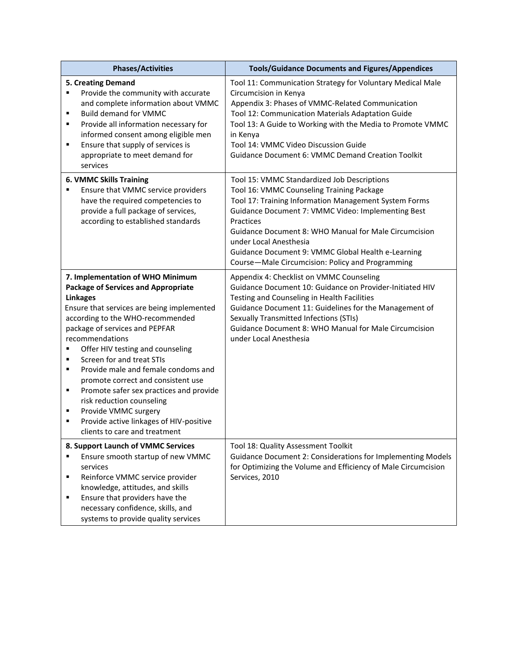|                                    | <b>Phases/Activities</b>                                                                                                                                                                                                                                                                                                                                                                                                                                                                                                                                           | <b>Tools/Guidance Documents and Figures/Appendices</b>                                                                                                                                                                                                                                                                                                                     |
|------------------------------------|--------------------------------------------------------------------------------------------------------------------------------------------------------------------------------------------------------------------------------------------------------------------------------------------------------------------------------------------------------------------------------------------------------------------------------------------------------------------------------------------------------------------------------------------------------------------|----------------------------------------------------------------------------------------------------------------------------------------------------------------------------------------------------------------------------------------------------------------------------------------------------------------------------------------------------------------------------|
| ٠<br>٠<br>٠<br>$\blacksquare$      | 5. Creating Demand<br>Provide the community with accurate<br>and complete information about VMMC<br><b>Build demand for VMMC</b><br>Provide all information necessary for<br>informed consent among eligible men<br>Ensure that supply of services is<br>appropriate to meet demand for<br>services                                                                                                                                                                                                                                                                | Tool 11: Communication Strategy for Voluntary Medical Male<br>Circumcision in Kenya<br>Appendix 3: Phases of VMMC-Related Communication<br>Tool 12: Communication Materials Adaptation Guide<br>Tool 13: A Guide to Working with the Media to Promote VMMC<br>in Kenya<br>Tool 14: VMMC Video Discussion Guide<br><b>Guidance Document 6: VMMC Demand Creation Toolkit</b> |
|                                    | <b>6. VMMC Skills Training</b><br>Ensure that VMMC service providers                                                                                                                                                                                                                                                                                                                                                                                                                                                                                               | Tool 15: VMMC Standardized Job Descriptions<br>Tool 16: VMMC Counseling Training Package                                                                                                                                                                                                                                                                                   |
|                                    | have the required competencies to<br>provide a full package of services,<br>according to established standards                                                                                                                                                                                                                                                                                                                                                                                                                                                     | Tool 17: Training Information Management System Forms<br>Guidance Document 7: VMMC Video: Implementing Best<br>Practices<br><b>Guidance Document 8: WHO Manual for Male Circumcision</b><br>under Local Anesthesia<br>Guidance Document 9: VMMC Global Health e-Learning<br>Course-Male Circumcision: Policy and Programming                                               |
| ٠<br>$\blacksquare$<br>٠<br>٠<br>٠ | 7. Implementation of WHO Minimum<br><b>Package of Services and Appropriate</b><br><b>Linkages</b><br>Ensure that services are being implemented<br>according to the WHO-recommended<br>package of services and PEPFAR<br>recommendations<br>Offer HIV testing and counseling<br>Screen for and treat STIs<br>Provide male and female condoms and<br>promote correct and consistent use<br>Promote safer sex practices and provide<br>risk reduction counseling<br>Provide VMMC surgery<br>Provide active linkages of HIV-positive<br>clients to care and treatment | Appendix 4: Checklist on VMMC Counseling<br>Guidance Document 10: Guidance on Provider-Initiated HIV<br>Testing and Counseling in Health Facilities<br>Guidance Document 11: Guidelines for the Management of<br><b>Sexually Transmitted Infections (STIs)</b><br>Guidance Document 8: WHO Manual for Male Circumcision<br>under Local Anesthesia                          |
| ٠<br>٠                             | 8. Support Launch of VMMC Services<br>Ensure smooth startup of new VMMC<br>services<br>Reinforce VMMC service provider<br>knowledge, attitudes, and skills<br>Ensure that providers have the<br>necessary confidence, skills, and<br>systems to provide quality services                                                                                                                                                                                                                                                                                           | Tool 18: Quality Assessment Toolkit<br>Guidance Document 2: Considerations for Implementing Models<br>for Optimizing the Volume and Efficiency of Male Circumcision<br>Services, 2010                                                                                                                                                                                      |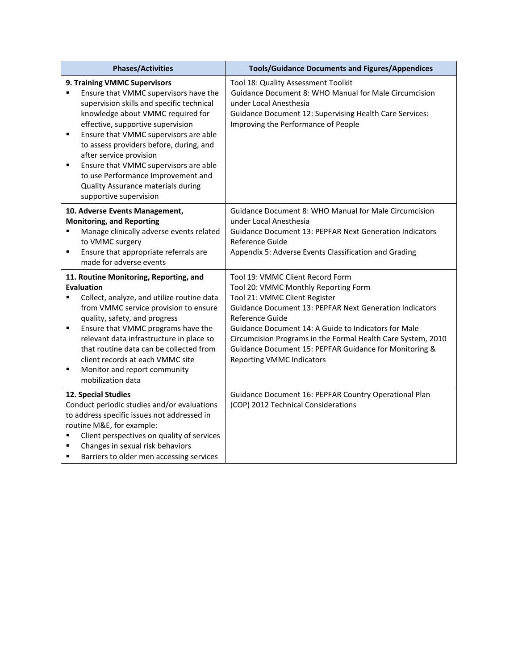| <b>Phases/Activities</b>                                                                                                                                                                                                                                                                                                                                                                                                                                             | <b>Tools/Guidance Documents and Figures/Appendices</b>                                                                                                                                                                                                                                                                                                                                                               |
|----------------------------------------------------------------------------------------------------------------------------------------------------------------------------------------------------------------------------------------------------------------------------------------------------------------------------------------------------------------------------------------------------------------------------------------------------------------------|----------------------------------------------------------------------------------------------------------------------------------------------------------------------------------------------------------------------------------------------------------------------------------------------------------------------------------------------------------------------------------------------------------------------|
| 9. Training VMMC Supervisors<br>Ensure that VMMC supervisors have the<br>supervision skills and specific technical<br>knowledge about VMMC required for<br>effective, supportive supervision<br>٠<br>Ensure that VMMC supervisors are able<br>to assess providers before, during, and<br>after service provision<br>Ensure that VMMC supervisors are able<br>٠<br>to use Performance Improvement and<br>Quality Assurance materials during<br>supportive supervision | Tool 18: Quality Assessment Toolkit<br>Guidance Document 8: WHO Manual for Male Circumcision<br>under Local Anesthesia<br><b>Guidance Document 12: Supervising Health Care Services:</b><br>Improving the Performance of People                                                                                                                                                                                      |
| 10. Adverse Events Management,<br><b>Monitoring, and Reporting</b><br>Manage clinically adverse events related<br>٠<br>to VMMC surgery<br>Ensure that appropriate referrals are<br>٠<br>made for adverse events                                                                                                                                                                                                                                                      | <b>Guidance Document 8: WHO Manual for Male Circumcision</b><br>under Local Anesthesia<br><b>Guidance Document 13: PEPFAR Next Generation Indicators</b><br>Reference Guide<br>Appendix 5: Adverse Events Classification and Grading                                                                                                                                                                                 |
| 11. Routine Monitoring, Reporting, and<br><b>Evaluation</b><br>$\blacksquare$<br>Collect, analyze, and utilize routine data<br>from VMMC service provision to ensure<br>quality, safety, and progress<br>Ensure that VMMC programs have the<br>٠<br>relevant data infrastructure in place so<br>that routine data can be collected from<br>client records at each VMMC site<br>Monitor and report community<br>٠<br>mobilization data                                | Tool 19: VMMC Client Record Form<br>Tool 20: VMMC Monthly Reporting Form<br>Tool 21: VMMC Client Register<br><b>Guidance Document 13: PEPFAR Next Generation Indicators</b><br>Reference Guide<br>Guidance Document 14: A Guide to Indicators for Male<br>Circumcision Programs in the Formal Health Care System, 2010<br>Guidance Document 15: PEPFAR Guidance for Monitoring &<br><b>Reporting VMMC Indicators</b> |
| 12. Special Studies<br>Conduct periodic studies and/or evaluations<br>to address specific issues not addressed in<br>routine M&E, for example:<br>Client perspectives on quality of services<br>٠<br>Changes in sexual risk behaviors<br>٠<br>Barriers to older men accessing services<br>٠                                                                                                                                                                          | Guidance Document 16: PEPFAR Country Operational Plan<br>(COP) 2012 Technical Considerations                                                                                                                                                                                                                                                                                                                         |